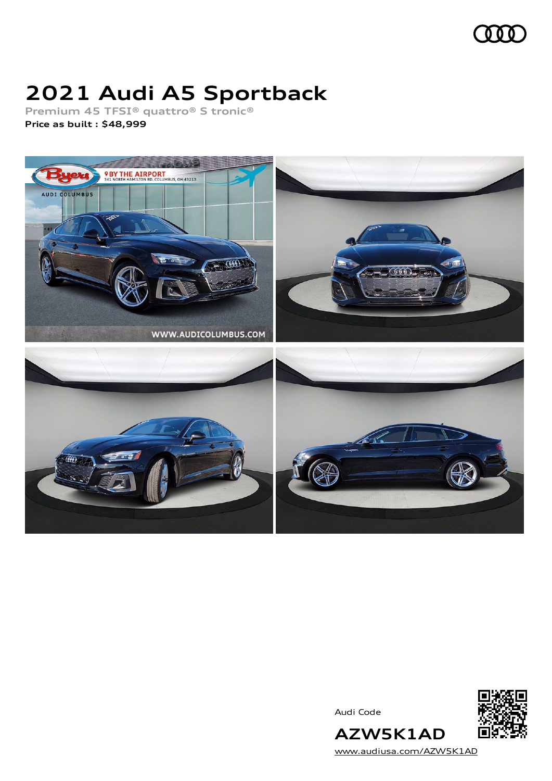

# **2021 Audi A5 Sportback**

**Premium 45 TFSI® quattro® S tronic®**

**Price as built [:](#page-9-0) \$48,999**



Audi Code



**AZW5K1AD** [www.audiusa.com/AZW5K1AD](https://www.audiusa.com/AZW5K1AD)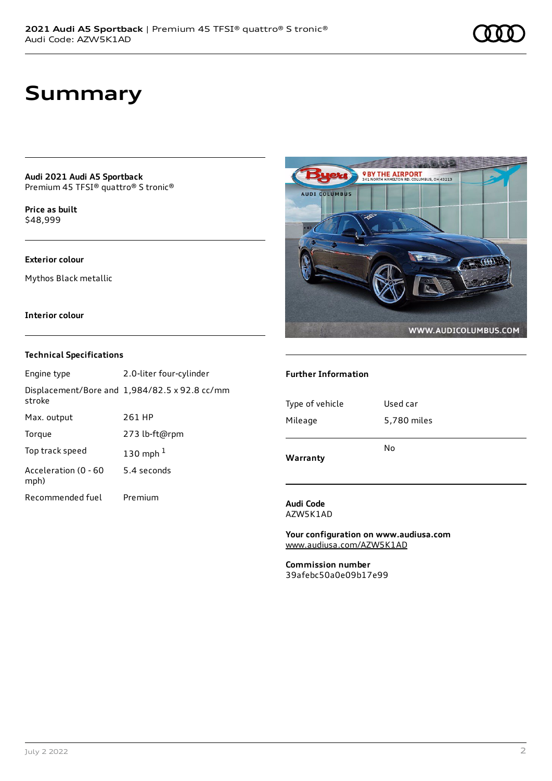## **Summary**

**Audi 2021 Audi A5 Sportback** Premium 45 TFSI® quattro® S tronic®

**Price as buil[t](#page-9-0)** \$48,999

### **Exterior colour**

Mythos Black metallic

### **Interior colour**

### **Technical Specifications**

| Engine type                  | 2.0-liter four-cylinder                       |
|------------------------------|-----------------------------------------------|
| stroke                       | Displacement/Bore and 1,984/82.5 x 92.8 cc/mm |
| Max. output                  | 261 HP                                        |
| Torque                       | 273 lb-ft@rpm                                 |
| Top track speed              | 130 mph $1$                                   |
| Acceleration (0 - 60<br>mph) | 5.4 seconds                                   |
| Recommended fuel             | Premium                                       |



#### **Further Information**

| Type of vehicle | Used car    |
|-----------------|-------------|
| Mileage         | 5,780 miles |
| Warranty        | No          |
|                 |             |

#### **Audi Code** AZW5K1AD

**Your configuration on www.audiusa.com** [www.audiusa.com/AZW5K1AD](https://www.audiusa.com/AZW5K1AD)

**Commission number** 39afebc50a0e09b17e99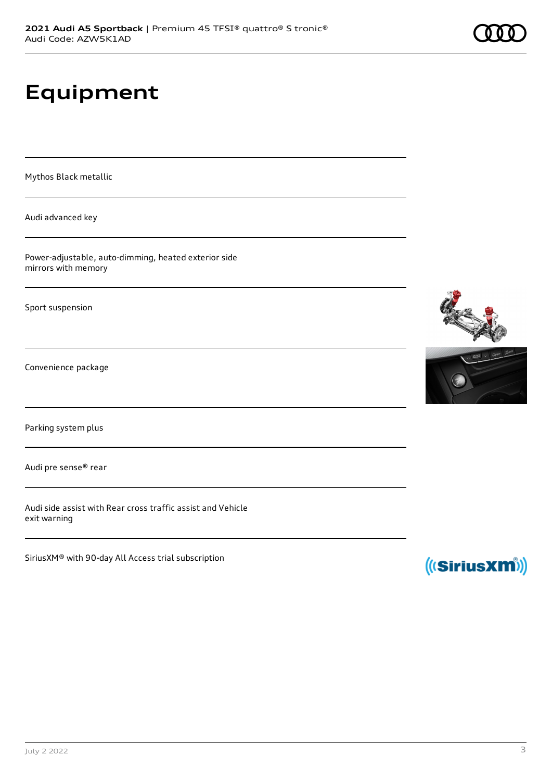# **Equipment**

Mythos Black metallic

Audi advanced key

Power-adjustable, auto-dimming, heated exterior side mirrors with memory

Sport suspension

Convenience package

Parking system plus

Audi pre sense® rear

Audi side assist with Rear cross traffic assist and Vehicle exit warning

SiriusXM® with 90-day All Access trial subscription







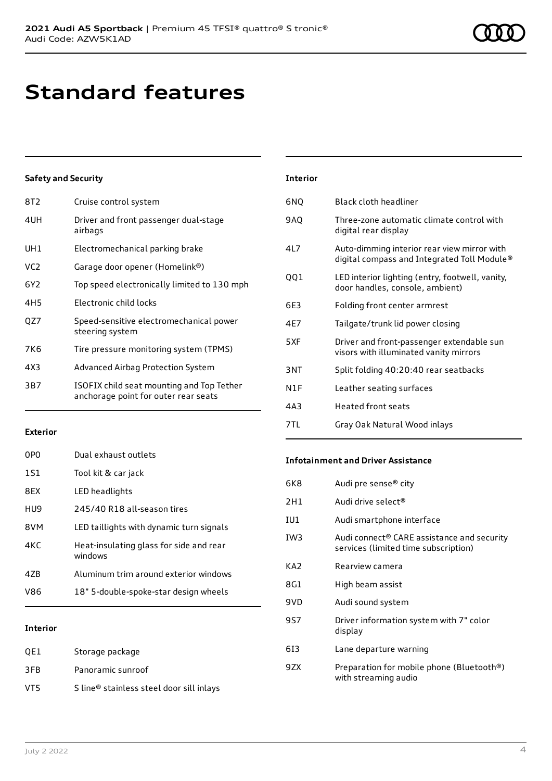# **Standard features**

### **Safety and Security**

| 8T2             | Cruise control system                                                             |
|-----------------|-----------------------------------------------------------------------------------|
| 4UH             | Driver and front passenger dual-stage<br>airbags                                  |
| UH1             | Electromechanical parking brake                                                   |
| VC <sub>2</sub> | Garage door opener (Homelink®)                                                    |
| 6Y2             | Top speed electronically limited to 130 mph                                       |
| 4H5             | Electronic child locks                                                            |
| QZ7             | Speed-sensitive electromechanical power<br>steering system                        |
| 7K6             | Tire pressure monitoring system (TPMS)                                            |
| 4X3             | Advanced Airbag Protection System                                                 |
| 3B7             | ISOFIX child seat mounting and Top Tether<br>anchorage point for outer rear seats |
|                 |                                                                                   |

### **Exterior**

| V86 | 18" 5-double-spoke-star design wheels              |
|-----|----------------------------------------------------|
| 47B | Aluminum trim around exterior windows              |
| 4KC | Heat-insulating glass for side and rear<br>windows |
| 8VM | LED taillights with dynamic turn signals           |
| HU9 | 245/40 R18 all-season tires                        |
| 8FX | LED headlights                                     |
| 151 | Tool kit & car jack                                |
| 0PO | Dual exhaust outlets                               |

### **Interior**

| OE1 | Storage package                          |
|-----|------------------------------------------|
| 3FB | Panoramic sunroof                        |
| VT5 | S line® stainless steel door sill inlays |

| <b>Interior</b> |                                                                                            |
|-----------------|--------------------------------------------------------------------------------------------|
| 6NQ             | Black cloth headliner                                                                      |
| 9AQ             | Three-zone automatic climate control with<br>digital rear display                          |
| 417             | Auto-dimming interior rear view mirror with<br>digital compass and Integrated Toll Module® |
| 001             | LED interior lighting (entry, footwell, vanity,<br>door handles, console, ambient)         |
| 6E3             | Folding front center armrest                                                               |
| 4E7             | Tailgate/trunk lid power closing                                                           |
| 5XF             | Driver and front-passenger extendable sun<br>visors with illuminated vanity mirrors        |
| 3NT             | Split folding 40:20:40 rear seatbacks                                                      |
| N1F             | Leather seating surfaces                                                                   |
| 4A3             | Heated front seats                                                                         |
| 7TL             | Gray Oak Natural Wood inlays                                                               |

### **Infotainment and Driver Assistance**

| 6K8             | Audi pre sense® city                                                               |
|-----------------|------------------------------------------------------------------------------------|
| 2H1             | Audi drive select <sup>®</sup>                                                     |
| IU1             | Audi smartphone interface                                                          |
| IW <sub>3</sub> | Audi connect® CARE assistance and security<br>services (limited time subscription) |
| KA2             | Rearview camera                                                                    |
| 8G1             | High beam assist                                                                   |
| 9VD             | Audi sound system                                                                  |
| 9S7             | Driver information system with 7" color<br>display                                 |
| 613             | Lane departure warning                                                             |
| 9ZX             | Preparation for mobile phone (Bluetooth®)<br>with streaming audio                  |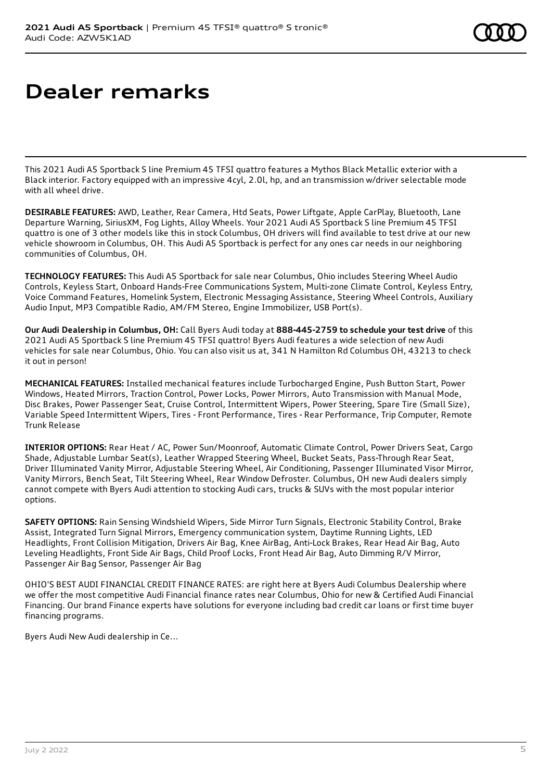# **Dealer remarks**

This 2021 Audi A5 Sportback S line Premium 45 TFSI quattro features a Mythos Black Metallic exterior with a Black interior. Factory equipped with an impressive 4cyl, 2.0l, hp, and an transmission w/driver selectable mode with all wheel drive.

**DESIRABLE FEATURES:** AWD, Leather, Rear Camera, Htd Seats, Power Liftgate, Apple CarPlay, Bluetooth, Lane Departure Warning, SiriusXM, Fog Lights, Alloy Wheels. Your 2021 Audi A5 Sportback S line Premium 45 TFSI quattro is one of 3 other models like this in stock Columbus, OH drivers will find available to test drive at our new vehicle showroom in Columbus, OH. This Audi A5 Sportback is perfect for any ones car needs in our neighboring communities of Columbus, OH.

**TECHNOLOGY FEATURES:** This Audi A5 Sportback for sale near Columbus, Ohio includes Steering Wheel Audio Controls, Keyless Start, Onboard Hands-Free Communications System, Multi-zone Climate Control, Keyless Entry, Voice Command Features, Homelink System, Electronic Messaging Assistance, Steering Wheel Controls, Auxiliary Audio Input, MP3 Compatible Radio, AM/FM Stereo, Engine Immobilizer, USB Port(s).

**Our Audi Dealership in Columbus, OH:** Call Byers Audi today at **888-445-2759 to schedule your test drive** of this 2021 Audi A5 Sportback S line Premium 45 TFSI quattro! Byers Audi features a wide selection of new Audi vehicles for sale near Columbus, Ohio. You can also visit us at, 341 N Hamilton Rd Columbus OH, 43213 to check it out in person!

**MECHANICAL FEATURES:** Installed mechanical features include Turbocharged Engine, Push Button Start, Power Windows, Heated Mirrors, Traction Control, Power Locks, Power Mirrors, Auto Transmission with Manual Mode, Disc Brakes, Power Passenger Seat, Cruise Control, Intermittent Wipers, Power Steering, Spare Tire (Small Size), Variable Speed Intermittent Wipers, Tires - Front Performance, Tires - Rear Performance, Trip Computer, Remote Trunk Release

**INTERIOR OPTIONS:** Rear Heat / AC, Power Sun/Moonroof, Automatic Climate Control, Power Drivers Seat, Cargo Shade, Adjustable Lumbar Seat(s), Leather Wrapped Steering Wheel, Bucket Seats, Pass-Through Rear Seat, Driver Illuminated Vanity Mirror, Adjustable Steering Wheel, Air Conditioning, Passenger Illuminated Visor Mirror, Vanity Mirrors, Bench Seat, Tilt Steering Wheel, Rear Window Defroster. Columbus, OH new Audi dealers simply cannot compete with Byers Audi attention to stocking Audi cars, trucks & SUVs with the most popular interior options.

**SAFETY OPTIONS:** Rain Sensing Windshield Wipers, Side Mirror Turn Signals, Electronic Stability Control, Brake Assist, Integrated Turn Signal Mirrors, Emergency communication system, Daytime Running Lights, LED Headlights, Front Collision Mitigation, Drivers Air Bag, Knee AirBag, Anti-Lock Brakes, Rear Head Air Bag, Auto Leveling Headlights, Front Side Air Bags, Child Proof Locks, Front Head Air Bag, Auto Dimming R/V Mirror, Passenger Air Bag Sensor, Passenger Air Bag

OHIO'S BEST AUDI FINANCIAL CREDIT FINANCE RATES: are right here at Byers Audi Columbus Dealership where we offer the most competitive Audi Financial finance rates near Columbus, Ohio for new & Certified Audi Financial Financing. Our brand Finance experts have solutions for everyone including bad credit car loans or first time buyer financing programs.

Byers Audi New Audi dealership in Ce...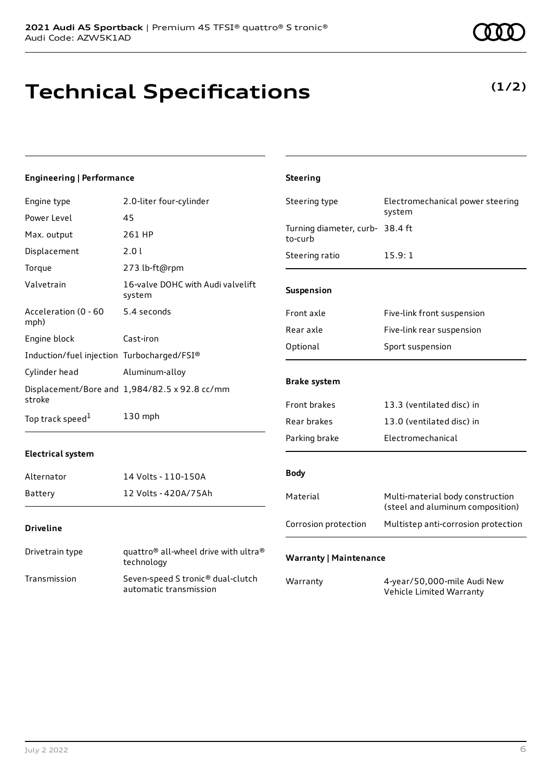## **Technical Specifications**

### **(1/2)**

### **Engineering | Performance**

| Engine type                                | 2.0-liter four-cylinder                                                    | Steering type                              | Electromechanical power steering                                     |
|--------------------------------------------|----------------------------------------------------------------------------|--------------------------------------------|----------------------------------------------------------------------|
| Power Level                                | 45                                                                         |                                            | system                                                               |
| Max. output                                | 261 HP                                                                     | Turning diameter, curb- 38.4 ft<br>to-curb |                                                                      |
| Displacement                               | 2.0 l                                                                      | Steering ratio                             | 15.9:1                                                               |
| Torque                                     | 273 lb-ft@rpm                                                              |                                            |                                                                      |
| Valvetrain                                 | 16-valve DOHC with Audi valvelift<br>system                                | Suspension                                 |                                                                      |
| Acceleration (0 - 60                       | 5.4 seconds                                                                | Front axle                                 | Five-link front suspension                                           |
| mph)                                       |                                                                            | Rear axle                                  | Five-link rear suspension                                            |
| Engine block                               | Cast-iron                                                                  | Optional                                   | Sport suspension                                                     |
| Induction/fuel injection Turbocharged/FSI® |                                                                            |                                            |                                                                      |
| Cylinder head                              | Aluminum-alloy                                                             |                                            |                                                                      |
| stroke                                     | Displacement/Bore and 1,984/82.5 x 92.8 cc/mm                              | <b>Brake system</b>                        |                                                                      |
|                                            |                                                                            | Front brakes                               | 13.3 (ventilated disc) in                                            |
| Top track speed <sup>1</sup>               | 130 mph                                                                    | Rear brakes                                | 13.0 (ventilated disc) in                                            |
|                                            |                                                                            | Parking brake                              | Electromechanical                                                    |
| <b>Electrical system</b>                   |                                                                            |                                            |                                                                      |
| Alternator                                 | 14 Volts - 110-150A                                                        | <b>Body</b>                                |                                                                      |
| <b>Battery</b>                             | 12 Volts - 420A/75Ah                                                       | Material                                   | Multi-material body construction<br>(steel and aluminum composition) |
| <b>Driveline</b>                           |                                                                            | Corrosion protection                       | Multistep anti-corrosion protection                                  |
| Drivetrain type                            | quattro <sup>®</sup> all-wheel drive with ultra <sup>®</sup><br>technology | <b>Warranty   Maintenance</b>              |                                                                      |
| Transmission                               | Seven-speed S tronic® dual-clutch<br>automatic transmission                | Warranty                                   | 4-year/50,000-mile Audi New<br>Vehicle Limited Warranty              |

**Steering**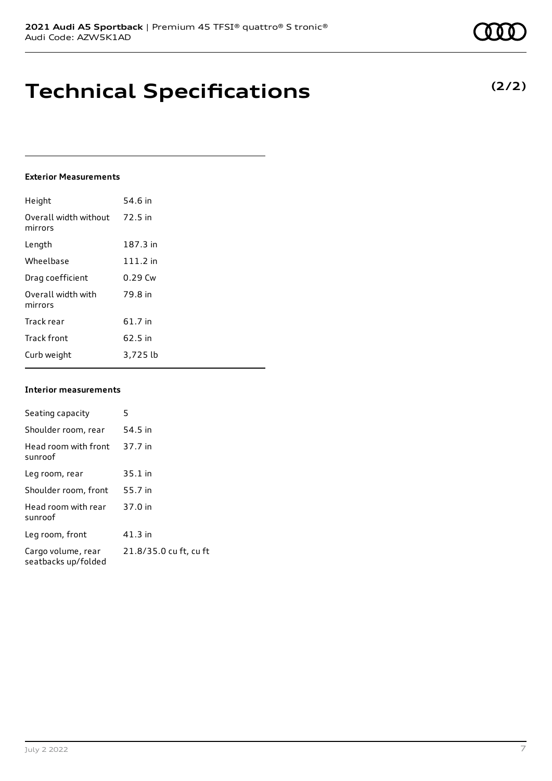### **Technical Specifications**

### **Exterior Measurements**

| Height                           | 54.6 in    |
|----------------------------------|------------|
| Overall width without<br>mirrors | 72.5 in    |
| Length                           | 187.3 in   |
| Wheelbase                        | $111.2$ in |
| Drag coefficient                 | $0.29$ Cw  |
| Overall width with<br>mirrors    | 79.8 in    |
| Track rear                       | 61.7 in    |
| <b>Track front</b>               | 62.5 in    |
| Curb weight                      | 3,725 lb   |

### **Interior measurements**

| Seating capacity                          | 5                      |
|-------------------------------------------|------------------------|
| Shoulder room, rear                       | 54.5 in                |
| Head room with front<br>sunroof           | 37.7 in                |
| Leg room, rear                            | $35.1$ in              |
| Shoulder room, front                      | 55.7 in                |
| Head room with rear<br>sunroof            | 37.0 in                |
| Leg room, front                           | $41.3$ in              |
| Cargo volume, rear<br>seatbacks up/folded | 21.8/35.0 cu ft, cu ft |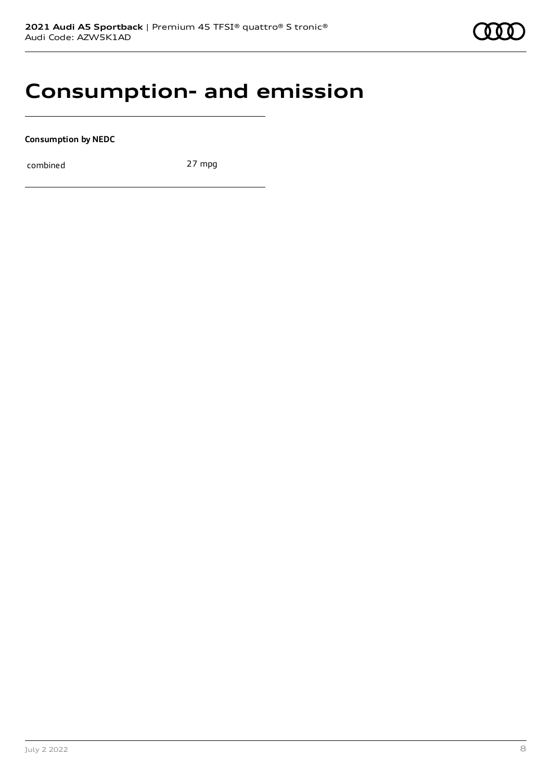### **Consumption- and emission**

**Consumption by NEDC**

combined 27 mpg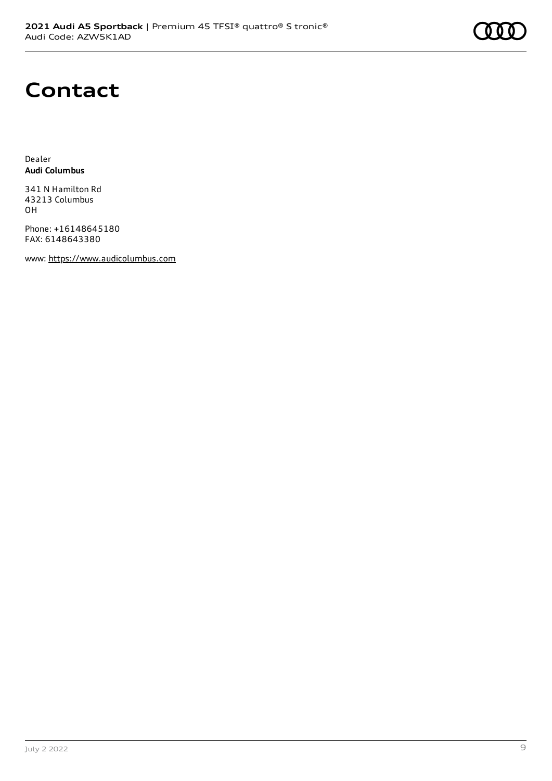

### **Contact**

Dealer **Audi Columbus**

341 N Hamilton Rd 43213 Columbus OH

Phone: +16148645180 FAX: 6148643380

www: [https://www.audicolumbus.com](https://www.audicolumbus.com/)